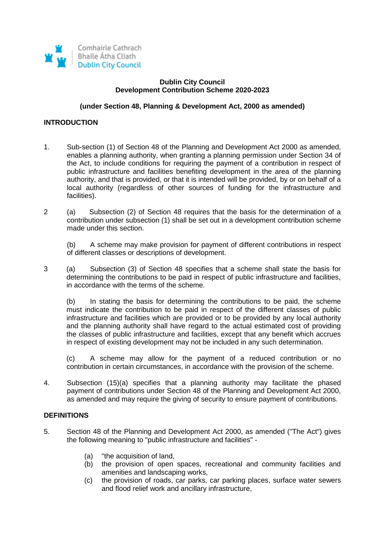

### **Dublin City Council Development Contribution Scheme 2020-2023**

### **(under Section 48, Planning & Development Act, 2000 as amended)**

## **INTRODUCTION**

- 1. Sub-section (1) of Section 48 of the Planning and Development Act 2000 as amended, enables a planning authority, when granting a planning permission under Section 34 of the Act, to include conditions for requiring the payment of a contribution in respect of public infrastructure and facilities benefiting development in the area of the planning authority, and that is provided, or that it is intended will be provided, by or on behalf of a local authority (regardless of other sources of funding for the infrastructure and facilities).
- 2 (a) Subsection (2) of Section 48 requires that the basis for the determination of a contribution under subsection (1) shall be set out in a development contribution scheme made under this section.

(b) A scheme may make provision for payment of different contributions in respect of different classes or descriptions of development.

3 (a) Subsection (3) of Section 48 specifies that a scheme shall state the basis for determining the contributions to be paid in respect of public infrastructure and facilities, in accordance with the terms of the scheme.

(b) In stating the basis for determining the contributions to be paid, the scheme must indicate the contribution to be paid in respect of the different classes of public infrastructure and facilities which are provided or to be provided by any local authority and the planning authority shall have regard to the actual estimated cost of providing the classes of public infrastructure and facilities, except that any benefit which accrues in respect of existing development may not be included in any such determination.

(c) A scheme may allow for the payment of a reduced contribution or no contribution in certain circumstances, in accordance with the provision of the scheme.

4. Subsection (15)(a) specifies that a planning authority may facilitate the phased payment of contributions under Section 48 of the Planning and Development Act 2000, as amended and may require the giving of security to ensure payment of contributions.

#### **DEFINITIONS**

- 5. Section 48 of the Planning and Development Act 2000, as amended ("The Act") gives the following meaning to "public infrastructure and facilities" -
	- (a) "the acquisition of land,
	- (b) the provision of open spaces, recreational and community facilities and amenities and landscaping works,
	- (c) the provision of roads, car parks, car parking places, surface water sewers and flood relief work and ancillary infrastructure,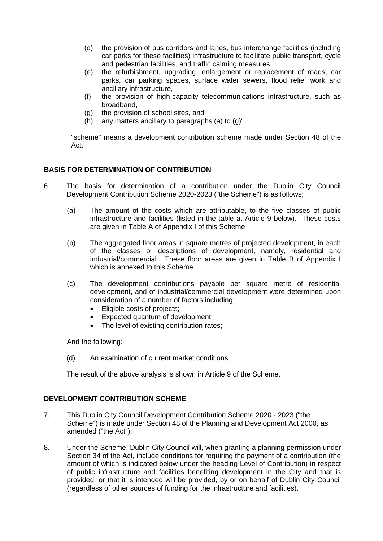- (d) the provision of bus corridors and lanes, bus interchange facilities (including car parks for these facilities) infrastructure to facilitate public transport, cycle and pedestrian facilities, and traffic calming measures,
- (e) the refurbishment, upgrading, enlargement or replacement of roads, car parks, car parking spaces, surface water sewers, flood relief work and ancillary infrastructure,
- (f) the provision of high-capacity telecommunications infrastructure, such as broadband,
- (g) the provision of school sites, and
- (h) any matters ancillary to paragraphs (a) to  $(q)$ ".

"scheme" means a development contribution scheme made under Section 48 of the Act.

# **BASIS FOR DETERMINATION OF CONTRIBUTION**

- 6. The basis for determination of a contribution under the Dublin City Council Development Contribution Scheme 2020-2023 ("the Scheme") is as follows;
	- (a) The amount of the costs which are attributable, to the five classes of public infrastructure and facilities (listed in the table at Article 9 below). These costs are given in Table A of Appendix I of this Scheme
	- (b) The aggregated floor areas in square metres of projected development, in each of the classes or descriptions of development, namely, residential and industrial/commercial. These floor areas are given in Table B of Appendix I which is annexed to this Scheme
	- (c) The development contributions payable per square metre of residential development, and of industrial/commercial development were determined upon consideration of a number of factors including:
		- Eligible costs of projects:
		- Expected quantum of development;
		- The level of existing contribution rates;

And the following:

(d) An examination of current market conditions

The result of the above analysis is shown in Article 9 of the Scheme.

# **DEVELOPMENT CONTRIBUTION SCHEME**

- 7. This Dublin City Council Development Contribution Scheme 2020 2023 ("the Scheme") is made under Section 48 of the Planning and Development Act 2000, as amended ("the Act").
- 8. Under the Scheme, Dublin City Council will, when granting a planning permission under Section 34 of the Act, include conditions for requiring the payment of a contribution (the amount of which is indicated below under the heading Level of Contribution) in respect of public infrastructure and facilities benefiting development in the City and that is provided, or that it is intended will be provided, by or on behalf of Dublin City Council (regardless of other sources of funding for the infrastructure and facilities).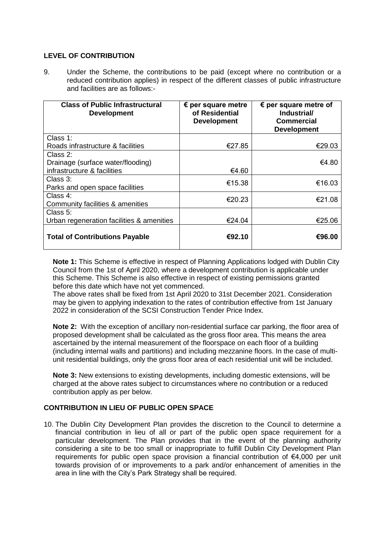# **LEVEL OF CONTRIBUTION**

9. Under the Scheme, the contributions to be paid (except where no contribution or a reduced contribution applies) in respect of the different classes of public infrastructure and facilities are as follows:-

| <b>Class of Public Infrastructural</b><br><b>Development</b> | $\epsilon$ per square metre<br>of Residential<br><b>Development</b> | $\epsilon$ per square metre of<br>Industrial/<br><b>Commercial</b><br><b>Development</b> |
|--------------------------------------------------------------|---------------------------------------------------------------------|------------------------------------------------------------------------------------------|
| Class 1:                                                     |                                                                     |                                                                                          |
| Roads infrastructure & facilities                            | €27.85                                                              | €29.03                                                                                   |
| Class 2:                                                     |                                                                     |                                                                                          |
| Drainage (surface water/flooding)                            |                                                                     | €4.80                                                                                    |
| infrastructure & facilities                                  | €4.60                                                               |                                                                                          |
| Class 3:                                                     | €15.38                                                              | €16.03                                                                                   |
| Parks and open space facilities                              |                                                                     |                                                                                          |
| Class $4:$                                                   | €20.23                                                              | €21.08                                                                                   |
| Community facilities & amenities                             |                                                                     |                                                                                          |
| Class 5:                                                     |                                                                     |                                                                                          |
| Urban regeneration facilities & amenities                    | €24.04                                                              | €25.06                                                                                   |
| <b>Total of Contributions Payable</b>                        | €92.10                                                              | €96.00                                                                                   |

**Note 1:** This Scheme is effective in respect of Planning Applications lodged with Dublin City Council from the 1st of April 2020, where a development contribution is applicable under this Scheme. This Scheme is also effective in respect of existing permissions granted before this date which have not yet commenced.

The above rates shall be fixed from 1st April 2020 to 31st December 2021. Consideration may be given to applying indexation to the rates of contribution effective from 1st January 2022 in consideration of the SCSI Construction Tender Price Index.

**Note 2:** With the exception of ancillary non-residential surface car parking, the floor area of proposed development shall be calculated as the gross floor area. This means the area ascertained by the internal measurement of the floorspace on each floor of a building (including internal walls and partitions) and including mezzanine floors. In the case of multiunit residential buildings, only the gross floor area of each residential unit will be included.

**Note 3:** New extensions to existing developments, including domestic extensions, will be charged at the above rates subject to circumstances where no contribution or a reduced contribution apply as per below.

## **CONTRIBUTION IN LIEU OF PUBLIC OPEN SPACE**

10. The Dublin City Development Plan provides the discretion to the Council to determine a financial contribution in lieu of all or part of the public open space requirement for a particular development. The Plan provides that in the event of the planning authority considering a site to be too small or inappropriate to fulfill Dublin City Development Plan requirements for public open space provision a financial contribution of €4,000 per unit towards provision of or improvements to a park and/or enhancement of amenities in the area in line with the City's Park Strategy shall be required.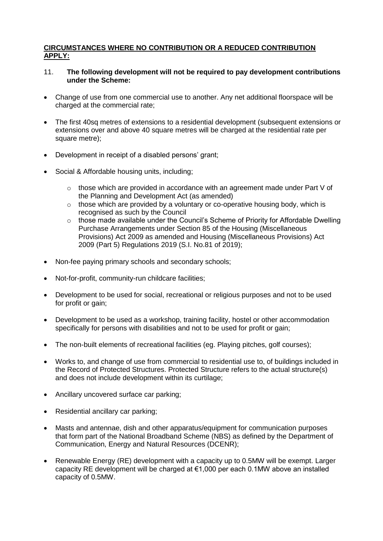# **CIRCUMSTANCES WHERE NO CONTRIBUTION OR A REDUCED CONTRIBUTION APPLY:**

- 11. **The following development will not be required to pay development contributions under the Scheme:**
- Change of use from one commercial use to another. Any net additional floorspace will be charged at the commercial rate;
- The first 40sq metres of extensions to a residential development (subsequent extensions or extensions over and above 40 square metres will be charged at the residential rate per square metre):
- Development in receipt of a disabled persons' grant;
- Social & Affordable housing units, including;
	- $\circ$  those which are provided in accordance with an agreement made under Part V of the Planning and Development Act (as amended)
	- $\circ$  those which are provided by a voluntary or co-operative housing body, which is recognised as such by the Council
	- $\circ$  those made available under the Council's Scheme of Priority for Affordable Dwelling Purchase Arrangements under Section 85 of the Housing (Miscellaneous Provisions) Act 2009 as amended and Housing (Miscellaneous Provisions) Act 2009 (Part 5) Regulations 2019 (S.I. No.81 of 2019);
- Non-fee paying primary schools and secondary schools;
- Not-for-profit, community-run childcare facilities;
- Development to be used for social, recreational or religious purposes and not to be used for profit or gain:
- Development to be used as a workshop, training facility, hostel or other accommodation specifically for persons with disabilities and not to be used for profit or gain;
- The non-built elements of recreational facilities (eg. Playing pitches, golf courses);
- Works to, and change of use from commercial to residential use to, of buildings included in the Record of Protected Structures. Protected Structure refers to the actual structure(s) and does not include development within its curtilage;
- Ancillary uncovered surface car parking;
- Residential ancillary car parking;
- Masts and antennae, dish and other apparatus/equipment for communication purposes that form part of the National Broadband Scheme (NBS) as defined by the Department of Communication, Energy and Natural Resources (DCENR);
- Renewable Energy (RE) development with a capacity up to 0.5MW will be exempt. Larger capacity RE development will be charged at  $\epsilon$ 1,000 per each 0.1MW above an installed capacity of 0.5MW.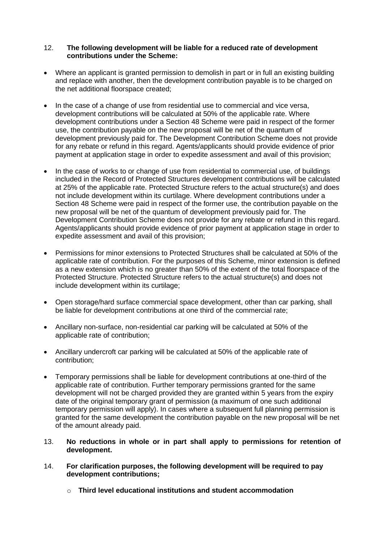## 12. **The following development will be liable for a reduced rate of development contributions under the Scheme:**

- Where an applicant is granted permission to demolish in part or in full an existing building and replace with another, then the development contribution payable is to be charged on the net additional floorspace created;
- In the case of a change of use from residential use to commercial and vice versa, development contributions will be calculated at 50% of the applicable rate. Where development contributions under a Section 48 Scheme were paid in respect of the former use, the contribution payable on the new proposal will be net of the quantum of development previously paid for. The Development Contribution Scheme does not provide for any rebate or refund in this regard. Agents/applicants should provide evidence of prior payment at application stage in order to expedite assessment and avail of this provision;
- In the case of works to or change of use from residential to commercial use, of buildings included in the Record of Protected Structures development contributions will be calculated at 25% of the applicable rate. Protected Structure refers to the actual structure(s) and does not include development within its curtilage. Where development contributions under a Section 48 Scheme were paid in respect of the former use, the contribution payable on the new proposal will be net of the quantum of development previously paid for. The Development Contribution Scheme does not provide for any rebate or refund in this regard. Agents/applicants should provide evidence of prior payment at application stage in order to expedite assessment and avail of this provision;
- Permissions for minor extensions to Protected Structures shall be calculated at 50% of the applicable rate of contribution. For the purposes of this Scheme, minor extension is defined as a new extension which is no greater than 50% of the extent of the total floorspace of the Protected Structure. Protected Structure refers to the actual structure(s) and does not include development within its curtilage;
- Open storage/hard surface commercial space development, other than car parking, shall be liable for development contributions at one third of the commercial rate;
- Ancillary non-surface, non-residential car parking will be calculated at 50% of the applicable rate of contribution;
- Ancillary undercroft car parking will be calculated at 50% of the applicable rate of contribution;
- Temporary permissions shall be liable for development contributions at one-third of the applicable rate of contribution. Further temporary permissions granted for the same development will not be charged provided they are granted within 5 years from the expiry date of the original temporary grant of permission (a maximum of one such additional temporary permission will apply). In cases where a subsequent full planning permission is granted for the same development the contribution payable on the new proposal will be net of the amount already paid.
- 13. **No reductions in whole or in part shall apply to permissions for retention of development.**
- 14. **For clarification purposes, the following development will be required to pay development contributions;**
	- o **Third level educational institutions and student accommodation**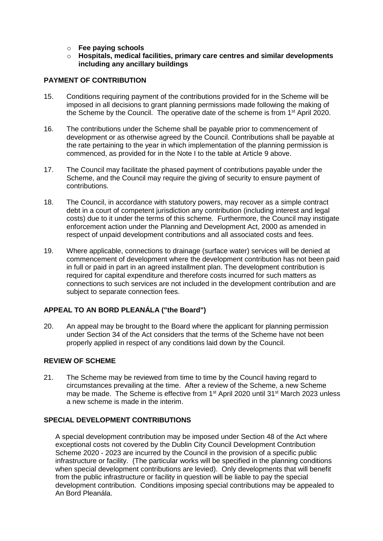- o **Fee paying schools**
- o **Hospitals, medical facilities, primary care centres and similar developments including any ancillary buildings**

#### **PAYMENT OF CONTRIBUTION**

- 15. Conditions requiring payment of the contributions provided for in the Scheme will be imposed in all decisions to grant planning permissions made following the making of the Scheme by the Council. The operative date of the scheme is from 1<sup>st</sup> April 2020.
- 16. The contributions under the Scheme shall be payable prior to commencement of development or as otherwise agreed by the Council. Contributions shall be payable at the rate pertaining to the year in which implementation of the planning permission is commenced, as provided for in the Note I to the table at Article 9 above.
- 17. The Council may facilitate the phased payment of contributions payable under the Scheme, and the Council may require the giving of security to ensure payment of contributions.
- 18. The Council, in accordance with statutory powers, may recover as a simple contract debt in a court of competent jurisdiction any contribution (including interest and legal costs) due to it under the terms of this scheme. Furthermore, the Council may instigate enforcement action under the Planning and Development Act, 2000 as amended in respect of unpaid development contributions and all associated costs and fees.
- 19. Where applicable, connections to drainage (surface water) services will be denied at commencement of development where the development contribution has not been paid in full or paid in part in an agreed installment plan. The development contribution is required for capital expenditure and therefore costs incurred for such matters as connections to such services are not included in the development contribution and are subject to separate connection fees.

## **APPEAL TO AN BORD PLEANÁLA ("the Board")**

20. An appeal may be brought to the Board where the applicant for planning permission under Section 34 of the Act considers that the terms of the Scheme have not been properly applied in respect of any conditions laid down by the Council.

## **REVIEW OF SCHEME**

21. The Scheme may be reviewed from time to time by the Council having regard to circumstances prevailing at the time. After a review of the Scheme, a new Scheme may be made. The Scheme is effective from 1<sup>st</sup> April 2020 until 31<sup>st</sup> March 2023 unless a new scheme is made in the interim.

#### **SPECIAL DEVELOPMENT CONTRIBUTIONS**

A special development contribution may be imposed under Section 48 of the Act where exceptional costs not covered by the Dublin City Council Development Contribution Scheme 2020 - 2023 are incurred by the Council in the provision of a specific public infrastructure or facility. (The particular works will be specified in the planning conditions when special development contributions are levied). Only developments that will benefit from the public infrastructure or facility in question will be liable to pay the special development contribution. Conditions imposing special contributions may be appealed to An Bord Pleanála.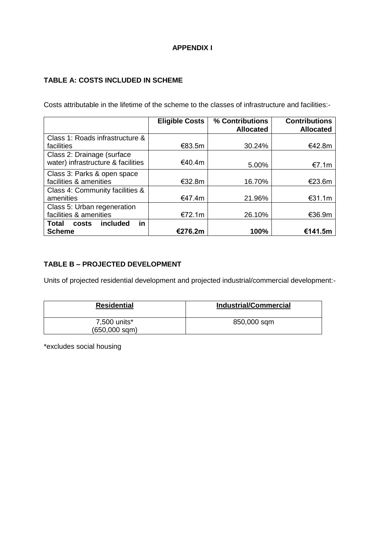# **APPENDIX I**

# **TABLE A: COSTS INCLUDED IN SCHEME**

Costs attributable in the lifetime of the scheme to the classes of infrastructure and facilities:-

|                                    | <b>Eligible Costs</b> | % Contributions<br><b>Allocated</b> | <b>Contributions</b><br><b>Allocated</b> |
|------------------------------------|-----------------------|-------------------------------------|------------------------------------------|
| Class 1: Roads infrastructure &    |                       |                                     |                                          |
| facilities                         | €83.5m                | 30.24%                              | €42.8m                                   |
| Class 2: Drainage (surface         |                       |                                     |                                          |
| water) infrastructure & facilities | €40.4m                | 5.00%                               | €7.1m                                    |
| Class 3: Parks & open space        |                       |                                     |                                          |
| facilities & amenities             | €32.8m                | 16.70%                              | €23.6m                                   |
| Class 4: Community facilities &    |                       |                                     |                                          |
| amenities                          | €47.4m                | 21.96%                              | €31.1m                                   |
| Class 5: Urban regeneration        |                       |                                     |                                          |
| facilities & amenities             | €72.1m                | 26.10%                              | €36.9m                                   |
| included<br>Total<br>costs<br>in   |                       |                                     |                                          |
| <b>Scheme</b>                      | €276.2m               | 100%                                | €141.5m                                  |

# **TABLE B – PROJECTED DEVELOPMENT**

Units of projected residential development and projected industrial/commercial development:-

| <b>Residential</b>                 | <b>Industrial/Commercial</b> |
|------------------------------------|------------------------------|
| 7,500 units*<br>$(650,000$ sqm $)$ | 850,000 sqm                  |

\*excludes social housing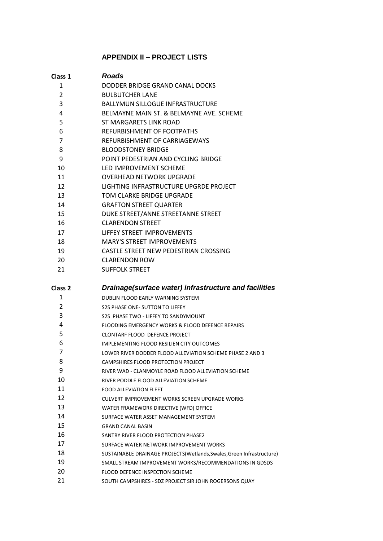# **APPENDIX II – PROJECT LISTS**

| Class 1        | <b>Roads</b>                                                           |
|----------------|------------------------------------------------------------------------|
| 1              | DODDER BRIDGE GRAND CANAL DOCKS                                        |
| $\overline{2}$ | <b>BULBUTCHER LANE</b>                                                 |
| 3              | <b>BALLYMUN SILLOGUE INFRASTRUCTURE</b>                                |
| 4              | BELMAYNE MAIN ST. & BELMAYNE AVE. SCHEME                               |
| 5              | ST MARGARETS LINK ROAD                                                 |
| 6              | REFURBISHMENT OF FOOTPATHS                                             |
| 7              | REFURBISHMENT OF CARRIAGEWAYS                                          |
| 8              | <b>BLOODSTONEY BRIDGE</b>                                              |
| 9              | POINT PEDESTRIAN AND CYCLING BRIDGE                                    |
| 10             | LED IMPROVEMENT SCHEME                                                 |
| 11             | <b>OVERHEAD NETWORK UPGRADE</b>                                        |
| 12             | LIGHTING INFRASTRUCTURE UPGRDE PROJECT                                 |
| 13             | TOM CLARKE BRIDGE UPGRADE                                              |
| 14             | <b>GRAFTON STREET QUARTER</b>                                          |
| 15             | DUKE STREET/ANNE STREETANNE STREET                                     |
| 16             | <b>CLARENDON STREET</b>                                                |
| 17             | LIFFEY STREET IMPROVEMENTS                                             |
| 18             | <b>MARY'S STREET IMPROVEMENTS</b>                                      |
| 19             | CASTLE STREET NEW PEDESTRIAN CROSSING                                  |
| 20             | <b>CLARENDON ROW</b>                                                   |
| 21             | <b>SUFFOLK STREET</b>                                                  |
| Class 2        | Drainage(surface water) infrastructure and facilities                  |
| 1              | DUBLIN FLOOD EARLY WARNING SYSTEM                                      |
| 2              | S2S PHASE ONE- SUTTON TO LIFFEY                                        |
| 3              | S2S PHASE TWO - LIFFEY TO SANDYMOUNT                                   |
| 4              | FLOODING EMERGENCY WORKS & FLOOD DEFENCE REPAIRS                       |
| 5              | CLONTARF FLOOD DEFENCE PROJECT                                         |
| 6              | <b>IMPLEMENTING FLOOD RESILIEN CITY OUTCOMES</b>                       |
| 7              | LOWER RIVER DODDER FLOOD ALLEVIATION SCHEME PHASE 2 AND 3              |
| 8              | CAMPSHIRES FLOOD PROTECTION PROJECT                                    |
| 9              | RIVER WAD - CLANMOYLE ROAD FLOOD ALLEVIATION SCHEME                    |
| 10             | RIVER PODDLE FLOOD ALLEVIATION SCHEME                                  |
| 11             | <b>FOOD ALLEVIATION FLEET</b>                                          |
| 12             | CULVERT IMPROVEMENT WORKS SCREEN UPGRADE WORKS                         |
| 13             | WATER FRAMEWORK DIRECTIVE (WFD) OFFICE                                 |
| 14             | SURFACE WATER ASSET MANAGEMENT SYSTEM                                  |
| 15             | <b>GRAND CANAL BASIN</b>                                               |
| 16             | SANTRY RIVER FLOOD PROTECTION PHASE2                                   |
| 17             | SURFACE WATER NETWORK IMPROVEMENT WORKS                                |
| 18             | SUSTAINABLE DRAINAGE PROJECTS (Wetlands, Swales, Green Infrastructure) |
| 19             | SMALL STREAM IMPROVEMENT WORKS/RECOMMENDATIONS IN GDSDS                |
| 20             | FLOOD DEFENCE INSPECTION SCHEME                                        |
| <b>n</b>       |                                                                        |

SOUTH CAMPSHIRES - SDZ PROJECT SIR JOHN ROGERSONS QUAY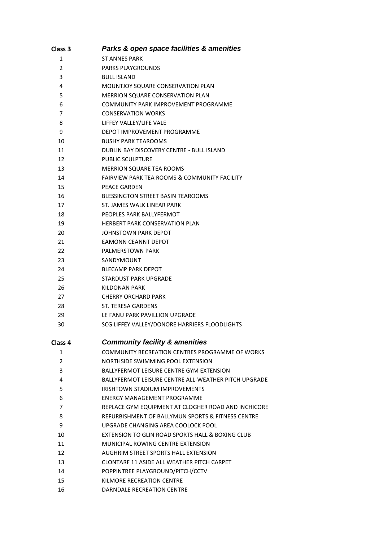| Class 3 | Parks & open space facilities & amenities               |
|---------|---------------------------------------------------------|
| 1       | ST ANNES PARK                                           |
| 2       | <b>PARKS PLAYGROUNDS</b>                                |
| 3       | <b>BULL ISLAND</b>                                      |
| 4       | <b>MOUNTJOY SQUARE CONSERVATION PLAN</b>                |
| 5       | <b>MERRION SQUARE CONSERVATION PLAN</b>                 |
| 6       | COMMUNITY PARK IMPROVEMENT PROGRAMME                    |
| 7       | <b>CONSERVATION WORKS</b>                               |
| 8       | LIFFEY VALLEY/LIFE VALE                                 |
| 9       | DEPOT IMPROVEMENT PROGRAMME                             |
| 10      | <b>BUSHY PARK TEAROOMS</b>                              |
| 11      | DUBLIN BAY DISCOVERY CENTRE - BULL ISLAND               |
| 12      | <b>PUBLIC SCULPTURE</b>                                 |
| 13      | <b>MERRION SQUARE TEA ROOMS</b>                         |
| 14      | <b>FAIRVIEW PARK TEA ROOMS &amp; COMMUNITY FACILITY</b> |
| 15      | <b>PEACE GARDEN</b>                                     |
| 16      | <b>BLESSINGTON STREET BASIN TEAROOMS</b>                |
| 17      | ST. JAMES WALK LINEAR PARK                              |
| 18      | PEOPLES PARK BALLYFERMOT                                |
| 19      | <b>HERBERT PARK CONSERVATION PLAN</b>                   |
| 20      | JOHNSTOWN PARK DEPOT                                    |
| 21      | EAMONN CEANNT DEPOT                                     |
| 22      | <b>PALMERSTOWN PARK</b>                                 |
| 23      | SANDYMOUNT                                              |
| 24      | <b>BLECAMP PARK DEPOT</b>                               |
| 25      | STARDUST PARK UPGRADE                                   |
| 26      | KILDONAN PARK                                           |
| 27      | <b>CHERRY ORCHARD PARK</b>                              |
| 28      | ST. TERESA GARDENS                                      |
| 29      | LE FANU PARK PAVILLION UPGRADE                          |
| 30      | SCG LIFFEY VALLEY/DONORE HARRIERS FLOODLIGHTS           |
| Class 4 | <b>Community facility &amp; amenities</b>               |
| 1       | COMMUNITY RECREATION CENTRES PROGRAMME OF WORKS         |
| 2       | NORTHSIDE SWIMMING POOL EXTENSION                       |
| 3       | <b>BALLYFERMOT LEISURE CENTRE GYM EXTENSION</b>         |
| 4       | BALLYFERMOT LEISURE CENTRE ALL-WEATHER PITCH UPGRADE    |
| 5       | <b>IRISHTOWN STADIUM IMPROVEMENTS</b>                   |
| 6       | ENERGY MANAGEMENT PROGRAMME                             |
| 7       | REPLACE GYM EQUIPMENT AT CLOGHER ROAD AND INCHICORE     |
| 8       | REFURBISHMENT OF BALLYMUN SPORTS & FITNESS CENTRE       |
| 9       | UPGRADE CHANGING AREA COOLOCK POOL                      |
| 10      | EXTENSION TO GLIN ROAD SPORTS HALL & BOXING CLUB        |
| 11      | MUNICIPAL ROWING CENTRE EXTENSION                       |
| 12      | AUGHRIM STREET SPORTS HALL EXTENSION                    |
| 13      | CLONTARF 11 ASIDE ALL WEATHER PITCH CARPET              |
| 14      | POPPINTREE PLAYGROUND/PITCH/CCTV                        |
| 15      | KILMORE RECREATION CENTRE                               |
| 16      | DARNDALE RECREATION CENTRE                              |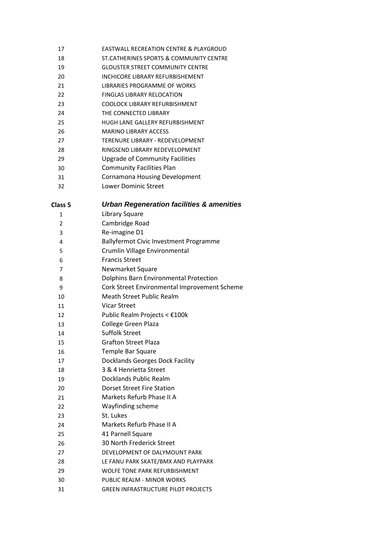- EASTWALL RECREATION CENTRE & PLAYGROUD
- ST.CATHERINES SPORTS & COMMUNITY CENTRE
- GLOUSTER STREET COMMUNITY CENTRE
- 20 INCHICORE LIBRARY REFURBISHEMENT
- LIBRARIES PROGRAMME OF WORKS
- FINGLAS LIBRARY RELOCATION
- COOLOCK LIBRARY REFURBISHMENT
- THE CONNECTED LIBRARY
- HUGH LANE GALLERY REFURBISHMENT
- MARINO LIBRARY ACCESS
- TERENURE LIBRARY REDEVELOPMENT
- RINGSEND LIBRARY REDEVELOPMENT
- Upgrade of Community Facilities
- Community Facilities Plan
- Cornamona Housing Development
- Lower Dominic Street

|--|

## **Urban Regeneration facilities & amenities**

| 1              | Library Square                               |
|----------------|----------------------------------------------|
| $\overline{2}$ | Cambridge Road                               |
| 3              | Re-imagine D1                                |
| 4              | Ballyfermot Civic Investment Programme       |
| 5              | Crumlin Village Environmental                |
| 6              | <b>Francis Street</b>                        |
| 7              | Newmarket Square                             |
| 8              | Dolphins Barn Environmental Protection       |
| 9              | Cork Street Environmental Improvement Scheme |
| 10             | <b>Meath Street Public Realm</b>             |
| 11             | <b>Vicar Street</b>                          |
| 12             | Public Realm Projects < €100k                |
| 13             | <b>College Green Plaza</b>                   |
| 14             | <b>Suffolk Street</b>                        |
| 15             | <b>Grafton Street Plaza</b>                  |
| 16             | <b>Temple Bar Square</b>                     |
| 17             | Docklands Georges Dock Facility              |
| 18             | 3 & 4 Henrietta Street                       |
| 19             | Docklands Public Realm                       |
| 20             | Dorset Street Fire Station                   |
| 21             | Markets Refurb Phase II A                    |
| 22             | Wayfinding scheme                            |
| 23             | St. Lukes                                    |
| 24             | Markets Refurb Phase II A                    |
| 25             | 41 Parnell Square                            |
| 26             | <b>30 North Frederick Street</b>             |
| 27             | DEVELOPMENT OF DALYMOUNT PARK                |
| 28             | LE FANU PARK SKATE/BMX AND PLAYPARK          |
| 29             | <b>WOLFE TONE PARK REFURBISHMENT</b>         |
| 30             | PUBLIC REALM - MINOR WORKS                   |
| 31             | <b>GREEN INFRASTRUCTURE PILOT PROJECTS</b>   |
|                |                                              |